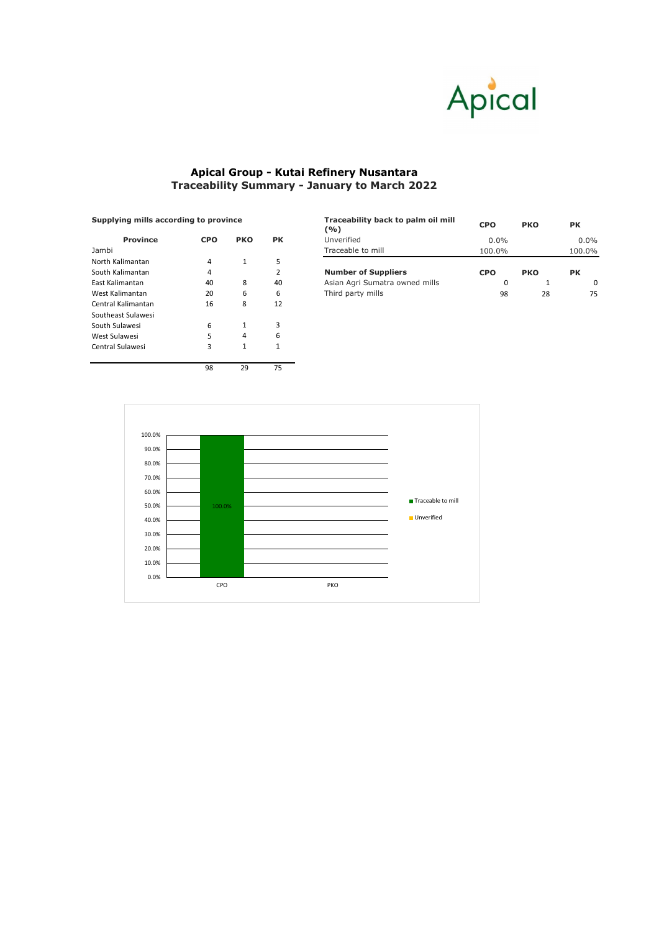|            |            |                                              | Traceability back to palm oil mill<br>(%) | <b>CPO</b> | <b>PKO</b> | <b>PK</b> |  |
|------------|------------|----------------------------------------------|-------------------------------------------|------------|------------|-----------|--|
| <b>CPO</b> | <b>PKO</b> | <b>PK</b>                                    | Unverified                                | $0.0\%$    |            | $0.0\%$   |  |
| Jambi      |            | Traceable to mill                            | 100.0%                                    |            | 100.0%     |           |  |
|            |            |                                              |                                           |            |            |           |  |
|            |            |                                              | <b>Number of Suppliers</b>                | <b>CPO</b> | <b>PKO</b> | <b>PK</b> |  |
| 40         | 8          | 40                                           | Asian Agri Sumatra owned mills            |            |            | 0         |  |
| 20         | 6          | 6                                            | Third party mills                         | 98         | 28         | 75        |  |
|            |            | <b>Supplying mills according to province</b> |                                           |            |            |           |  |

| <b>Province</b>    | <b>CPO</b> | <b>PKO</b> | <b>PK</b>      |
|--------------------|------------|------------|----------------|
| Jambi              |            |            |                |
| North Kalimantan   | 4          | 1          | 5              |
| South Kalimantan   | 4          |            | $\overline{2}$ |
| East Kalimantan    | 40         | 8          | 40             |
| West Kalimantan    | 20         | 6          | 6              |
| Central Kalimantan | 16         | 8          | 12             |
| Southeast Sulawesi |            |            |                |
| South Sulawesi     | 6          | 1          | 3              |
| West Sulawesi      | 5          | 4          | 6              |
| Central Sulawesi   | 3          | 1          | 1              |
|                    |            |            |                |
|                    | 98         | 29         | 75             |

## **Supplying mills according to province**



## **Apical Group - Kutai Refinery Nusantara Traceability Summary - January to March 2022**

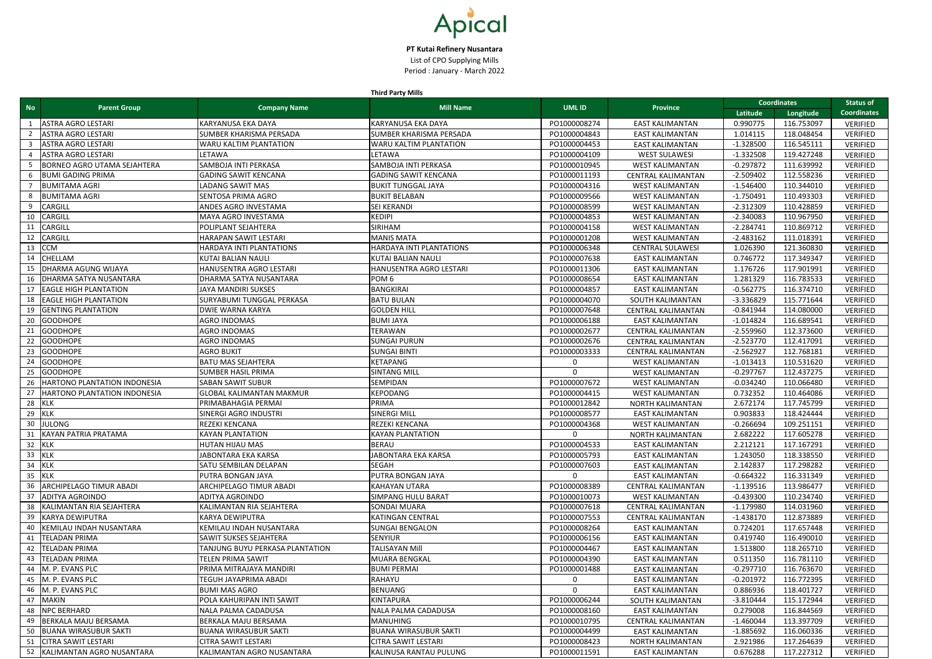**Third Party Mills**

| <b>No</b> | <b>Parent Group</b>                 | <b>Company Name</b>              | . <del>.</del><br><b>Mill Name</b> | <b>UMLID</b> | <b>Province</b>           | <b>Coordinates</b> |            | <b>Status of</b>   |
|-----------|-------------------------------------|----------------------------------|------------------------------------|--------------|---------------------------|--------------------|------------|--------------------|
|           |                                     |                                  |                                    |              |                           | Latitude           | Longitude  | <b>Coordinates</b> |
|           | <b>ASTRA AGRO LESTARI</b>           | KARYANUSA EKA DAYA               | KARYANUSA EKA DAYA                 | PO1000008274 | <b>EAST KALIMANTAN</b>    | 0.990775           | 116.753097 | <b>VERIFIED</b>    |
|           | <b>ASTRA AGRO LESTARI</b>           | <b>SUMBER KHARISMA PERSADA</b>   | SUMBER KHARISMA PERSADA            | PO1000004843 | <b>EAST KALIMANTAN</b>    | 1.014115           | 118.048454 | VERIFIED           |
|           | <b>ASTRA AGRO LESTARI</b>           | <b>WARU KALTIM PLANTATION</b>    | WARU KALTIM PLANTATION             | PO1000004453 | <b>EAST KALIMANTAN</b>    | $-1.328500$        | 116.545111 | VERIFIED           |
|           | <b>ASTRA AGRO LESTARI</b>           | <b>LETAWA</b>                    | LETAWA                             | PO1000004109 | <b>WEST SULAWESI</b>      | $-1.332508$        | 119.427248 | VERIFIED           |
|           | <b>BORNEO AGRO UTAMA SEJAHTERA</b>  | SAMBOJA INTI PERKASA             | SAMBOJA INTI PERKASA               | PO1000010945 | <b>WEST KALIMANTAN</b>    | $-0.297872$        | 111.639992 | <b>VERIFIED</b>    |
|           | <b>BUMI GADING PRIMA</b>            | <b>GADING SAWIT KENCANA</b>      | <b>GADING SAWIT KENCANA</b>        | PO1000011193 | <b>CENTRAL KALIMANTAN</b> | $-2.509402$        | 112.558236 | <b>VERIFIED</b>    |
|           | <b>BUMITAMA AGRI</b>                | <b>LADANG SAWIT MAS</b>          | <b>BUKIT TUNGGAL JAYA</b>          | PO1000004316 | <b>WEST KALIMANTAN</b>    | $-1.546400$        | 110.344010 | <b>VERIFIED</b>    |
|           | <b>BUMITAMA AGRI</b>                | <b>SENTOSA PRIMA AGRO</b>        | <b>BUKIT BELABAN</b>               | PO1000009566 | <b>WEST KALIMANTAN</b>    | $-1.750491$        | 110.493303 | <b>VERIFIED</b>    |
| -9        | <b>CARGILL</b>                      | <b>ANDES AGRO INVESTAMA</b>      | SEI KERANDI                        | PO1000008599 | <b>WEST KALIMANTAN</b>    | $-2.312309$        | 110.428859 | <b>VERIFIED</b>    |
| 10        | <b>CARGILL</b>                      | MAYA AGRO INVESTAMA              | <b>KEDIPI</b>                      | PO1000004853 | <b>WEST KALIMANTAN</b>    | $-2.340083$        | 110.967950 | <b>VERIFIED</b>    |
| 11        | <b>CARGILL</b>                      | <b>POLIPLANT SEJAHTERA</b>       | SIRIHAM                            | PO1000004158 | <b>WEST KALIMANTAN</b>    | $-2.284741$        | 110.869712 | <b>VERIFIED</b>    |
| 12        | <b>CARGILL</b>                      | HARAPAN SAWIT LESTARI            | <b>MANIS MATA</b>                  | PO1000001208 | <b>WEST KALIMANTAN</b>    | $-2.483162$        | 111.018391 | <b>VERIFIED</b>    |
| 13        | <b>CCM</b>                          | <b>HARDAYA INTI PLANTATIONS</b>  | HARDAYA INTI PLANTATIONS           | PO1000006348 | <b>CENTRAL SULAWESI</b>   | 1.026390           | 121.360830 | <b>VERIFIED</b>    |
| 14        | <b>CHELLAM</b>                      | KUTAI BALIAN NAULI               | <b>KUTAI BALIAN NAULI</b>          | PO1000007638 | <b>EAST KALIMANTAN</b>    | 0.746772           | 117.349347 | <b>VERIFIED</b>    |
| 15        | DHARMA AGUNG WIJAYA                 | HANUSENTRA AGRO LESTARI          | HANUSENTRA AGRO LESTARI            | PO1000011306 | <b>EAST KALIMANTAN</b>    | 1.176726           | 117.901991 | <b>VERIFIED</b>    |
| 16        | <b>DHARMA SATYA NUSANTARA</b>       | DHARMA SATYA NUSANTARA           | POM <sub>6</sub>                   | PO1000008654 | <b>EAST KALIMANTAN</b>    | 1.281329           | 116.783533 | <b>VERIFIED</b>    |
| 17        | <b>EAGLE HIGH PLANTATION</b>        | JAYA MANDIRI SUKSES              | <b>BANGKIRAI</b>                   | PO1000004857 | <b>EAST KALIMANTAN</b>    | $-0.562775$        | 116.374710 | <b>VERIFIED</b>    |
| 18        | <b>EAGLE HIGH PLANTATION</b>        | <b>SURYABUMI TUNGGAL PERKASA</b> | <b>BATU BULAN</b>                  | PO1000004070 | SOUTH KALIMANTAN          | $-3.336829$        | 115.771644 | <b>VERIFIED</b>    |
| 19        | <b>GENTING PLANTATION</b>           | DWIE WARNA KARYA                 | <b>GOLDEN HILL</b>                 | PO1000007648 | <b>CENTRAL KALIMANTAN</b> | $-0.841944$        | 114.080000 | <b>VERIFIED</b>    |
| 20        | GOODHOPE                            | <b>AGRO INDOMAS</b>              | <b>BUMI JAYA</b>                   | PO1000006188 | <b>EAST KALIMANTAN</b>    | $-1.014824$        | 116.689541 | <b>VERIFIED</b>    |
| 21        | <b>GOODHOPE</b>                     | <b>AGRO INDOMAS</b>              | TERAWAN                            | PO1000002677 | <b>CENTRAL KALIMANTAN</b> | $-2.559960$        | 112.373600 | <b>VERIFIED</b>    |
|           | <b>GOODHOPE</b>                     | <b>AGRO INDOMAS</b>              | <b>SUNGAI PURUN</b>                | PO1000002676 | <b>CENTRAL KALIMANTAN</b> | $-2.523770$        | 112.417091 | <b>VERIFIED</b>    |
|           | <b>GOODHOPE</b>                     | <b>AGRO BUKIT</b>                | <b>SUNGAI BINTI</b>                | PO1000003333 | <b>CENTRAL KALIMANTAN</b> | $-2.562927$        | 112.768181 | <b>VERIFIED</b>    |
| 24        | <b>GOODHOPE</b>                     | <b>BATU MAS SEJAHTERA</b>        | <b>KETAPANG</b>                    |              | <b>WEST KALIMANTAN</b>    | $-1.013413$        | 110.531620 | <b>VERIFIED</b>    |
| 25        | <b>GOODHOPE</b>                     | <b>SUMBER HASIL PRIMA</b>        | <b>SINTANG MILL</b>                | $\mathbf{0}$ | <b>WEST KALIMANTAN</b>    | $-0.297767$        | 112.437275 | <b>VERIFIED</b>    |
| 26        | <b>HARTONO PLANTATION INDONESIA</b> | <b>SABAN SAWIT SUBUR</b>         | <b>SEMPIDAN</b>                    | PO1000007672 | <b>WEST KALIMANTAN</b>    | $-0.034240$        | 110.066480 | <b>VERIFIED</b>    |
| 27        | <b>HARTONO PLANTATION INDONESIA</b> | <b>GLOBAL KALIMANTAN MAKMUR</b>  | KEPODANG                           | PO1000004415 | <b>WEST KALIMANTAN</b>    | 0.732352           | 110.464086 | <b>VERIFIED</b>    |
|           | 28 KLK                              | PRIMABAHAGIA PERMAI              | PRIMA                              | PO1000012842 | NORTH KALIMANTAN          | 2.672174           | 117.745799 | <b>VERIFIED</b>    |
| 29        | KLK                                 | <b>SINERGI AGRO INDUSTRI</b>     | <b>SINERGI MILL</b>                | PO1000008577 | <b>EAST KALIMANTAN</b>    | 0.903833           | 118.424444 | <b>VERIFIED</b>    |
| 30        | <b>JULONG</b>                       | <b>REZEKI KENCANA</b>            | REZEKI KENCANA                     | PO1000004368 | <b>WEST KALIMANTAN</b>    | $-0.266694$        | 109.251151 | <b>VERIFIED</b>    |
| 31        | <b>KAYAN PATRIA PRATAMA</b>         | <b>IKAYAN PLANTATION</b>         | <b>KAYAN PLANTATION</b>            | $\mathbf{0}$ | <b>NORTH KALIMANTAN</b>   | 2.682222           | 117.605278 | <b>VERIFIED</b>    |
| 32        | KLK                                 | <b>HUTAN HIJAU MAS</b>           | <b>BERAU</b>                       | PO1000004533 | <b>EAST KALIMANTAN</b>    | 2.212121           | 117.167291 | <b>VERIFIED</b>    |
| 33        | KLK                                 | JABONTARA EKA KARSA              | JABONTARA EKA KARSA                | PO1000005793 | <b>EAST KALIMANTAN</b>    | 1.243050           | 118.338550 | <b>VERIFIED</b>    |
| 34        | KLK                                 | <b>SATU SEMBILAN DELAPAN</b>     | <b>SEGAH</b>                       | PO1000007603 | <b>EAST KALIMANTAN</b>    | 2.142837           | 117.298282 | <b>VERIFIED</b>    |
| 35        | KLK                                 | <b>PUTRA BONGAN JAYA</b>         | PUTRA BONGAN JAYA                  | $\mathbf 0$  | <b>EAST KALIMANTAN</b>    | $-0.664322$        | 116.331349 | <b>VERIFIED</b>    |
| 36        | <b>ARCHIPELAGO TIMUR ABADI</b>      | <b>ARCHIPELAGO TIMUR ABADI</b>   | <b>KAHAYAN UTARA</b>               | PO1000008389 | <b>CENTRAL KALIMANTAN</b> | $-1.139516$        | 113.986477 | <b>VERIFIED</b>    |
| 37        | <b>ADITYA AGROINDO</b>              | <b>ADITYA AGROINDO</b>           | <b>SIMPANG HULU BARAT</b>          | PO1000010073 | <b>WEST KALIMANTAN</b>    | $-0.439300$        | 110.234740 | <b>VERIFIED</b>    |
| 38        | KALIMANTAN RIA SEJAHTERA            | KALIMANTAN RIA SEJAHTERA         | <b>SONDAI MUARA</b>                | PO1000007618 | <b>CENTRAL KALIMANTAN</b> | $-1.179980$        | 114.031960 | <b>VERIFIED</b>    |
| 39        | KARYA DEWIPUTRA                     | KARYA DEWIPUTRA                  | <b>KATINGAN CENTRAL</b>            | PO1000007553 | <b>CENTRAL KALIMANTAN</b> | $-1.438170$        | 112.873889 | <b>VERIFIED</b>    |
| 40        | <b>KEMILAU INDAH NUSANTARA</b>      | KEMILAU INDAH NUSANTARA          | <b>SUNGAI BENGALON</b>             | PO1000008264 | <b>EAST KALIMANTAN</b>    | 0.724201           | 117.657448 | <b>VERIFIED</b>    |
| 41        | <b>TELADAN PRIMA</b>                | <b>SAWIT SUKSES SEJAHTERA</b>    | <b>SENYIUR</b>                     | PO1000006156 | <b>EAST KALIMANTAN</b>    | 0.419740           | 116.490010 | <b>VERIFIED</b>    |
| 42        | <b>TELADAN PRIMA</b>                | TANJUNG BUYU PERKASA PLANTATION  | TALISAYAN Mill                     | PO1000004467 | <b>EAST KALIMANTAN</b>    | 1.513800           | 118.265710 | <b>VERIFIED</b>    |
| 43        | <b>TELADAN PRIMA</b>                | <b>TELEN PRIMA SAWIT</b>         | <b>MUARA BENGKAL</b>               | PO1000004390 | <b>EAST KALIMANTAN</b>    | 0.511350           | 116.781110 | VERIFIED           |
| 44        | M. P. EVANS PLC                     | <b>PRIMA MITRAJAYA MANDIRI</b>   | <b>BUMI PERMAI</b>                 | PO1000001488 | <b>EAST KALIMANTAN</b>    | $-0.297710$        | 116.763670 | <b>VERIFIED</b>    |
| 45        | M. P. EVANS PLC                     | <b>TEGUH JAYAPRIMA ABADI</b>     | RAHAYU                             | $\Omega$     | <b>EAST KALIMANTAN</b>    | $-0.201972$        | 116.772395 | <b>VERIFIED</b>    |
|           | 46 M. P. EVANS PLC                  | <b>BUMI MAS AGRO</b>             | <b>BENUANG</b>                     |              | <b>EAST KALIMANTAN</b>    | 0.886936           | 118.401727 | <b>VERIFIED</b>    |
| 47        | MAKIN                               | <b>POLA KAHURIPAN INTI SAWIT</b> | <b>KINTAPURA</b>                   | PO1000006244 | SOUTH KALIMANTAN          | $-3.810444$        | 115.172944 | <b>VERIFIED</b>    |
| 48        | <b>NPC BERHARD</b>                  | NALA PALMA CADADUSA              | NALA PALMA CADADUSA                | PO1000008160 | <b>EAST KALIMANTAN</b>    | 0.279008           | 116.844569 | <b>VERIFIED</b>    |
|           | BERKALA MAJU BERSAMA                | <b>BERKALA MAJU BERSAMA</b>      | MANUHING                           | PO1000010795 | <b>CENTRAL KALIMANTAN</b> | $-1.460044$        | 113.397709 | <b>VERIFIED</b>    |
| 50        | <b>BUANA WIRASUBUR SAKTI</b>        | <b>BUANA WIRASUBUR SAKTI</b>     | <b>BUANA WIRASUBUR SAKTI</b>       | PO1000004499 | <b>EAST KALIMANTAN</b>    | $-1.885692$        | 116.060336 | <b>VERIFIED</b>    |
| 51        | <b>CITRA SAWIT LESTARI</b>          | <b>CITRA SAWIT LESTARI</b>       | <b>CITRA SAWIT LESTARI</b>         | PO1000008423 | <b>NORTH KALIMANTAN</b>   | 2.921986           | 117.264639 | <b>VERIFIED</b>    |
| 52        | KALIMANTAN AGRO NUSANTARA           | KALIMANTAN AGRO NUSANTARA        | KALINUSA RANTAU PULUNG             | PO1000011591 | <b>EAST KALIMANTAN</b>    | 0.676288           | 117.227312 | <b>VERIFIED</b>    |
|           |                                     |                                  |                                    |              |                           |                    |            |                    |



**PT Kutai Refinery Nusantara** List of CPO Supplying Mills Period : January - March 2022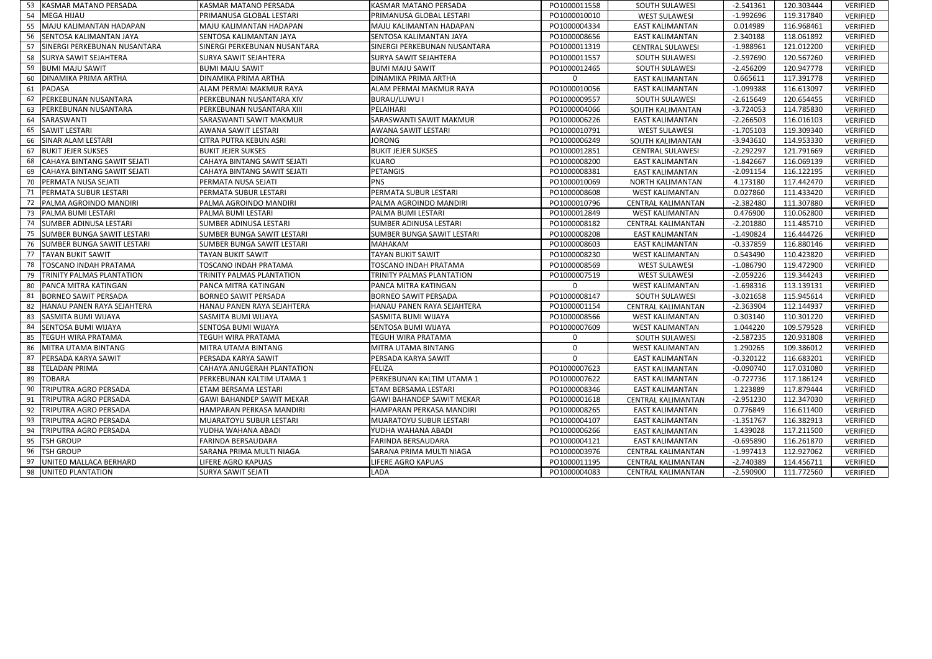|    | KASMAR MATANO PERSADA               | KASMAR MATANO PERSADA            | <b>KASMAR MATANO PERSADA</b>     | PO1000011558 | <b>SOUTH SULAWESI</b>     | $-2.541361$ | 120.303444 | <b>VERIFIED</b> |
|----|-------------------------------------|----------------------------------|----------------------------------|--------------|---------------------------|-------------|------------|-----------------|
| 54 | MEGA HIJAU                          | PRIMANUSA GLOBAL LESTARI         | PRIMANUSA GLOBAL LESTARI         | PO1000010010 | <b>WEST SULAWESI</b>      | $-1.992696$ | 119.317840 | <b>VERIFIED</b> |
|    | MAJU KALIMANTAN HADAPAN             | MAJU KALIMANTAN HADAPAN          | MAJU KALIMANTAN HADAPAN          | PO1000004334 | <b>EAST KALIMANTAN</b>    | 0.014989    | 116.968461 | <b>VERIFIED</b> |
| 56 | <b>SENTOSA KALIMANTAN JAYA</b>      | SENTOSA KALIMANTAN JAYA          | SENTOSA KALIMANTAN JAYA          | PO1000008656 | EAST KALIMANTAN           | 2.340188    | 118.061892 | <b>VERIFIED</b> |
| 57 | <b>SINERGI PERKEBUNAN NUSANTARA</b> | SINERGI PERKEBUNAN NUSANTARA     | SINERGI PERKEBUNAN NUSANTARA     | PO1000011319 | <b>CENTRAL SULAWESI</b>   | $-1.988961$ | 121.012200 | <b>VERIFIED</b> |
| 58 | <b>SURYA SAWIT SEJAHTERA</b>        | SURYA SAWIT SEJAHTERA            | <b>SURYA SAWIT SEJAHTERA</b>     | PO1000011557 | <b>SOUTH SULAWESI</b>     | $-2.597690$ | 120.567260 | <b>VERIFIED</b> |
| 59 | <b>BUMI MAJU SAWIT</b>              | <b>BUMI MAJU SAWIT</b>           | <b>BUMI MAJU SAWIT</b>           | PO1000012465 | <b>SOUTH SULAWESI</b>     | $-2.456209$ | 120.947778 | VERIFIED        |
| 60 | <b>DINAMIKA PRIMA ARTHA</b>         | DINAMIKA PRIMA ARTHA             | DINAMIKA PRIMA ARTHA             |              | <b>EAST KALIMANTAN</b>    | 0.665611    | 117.391778 | <b>VERIFIED</b> |
| 61 | PADASA                              | ALAM PERMAI MAKMUR RAYA          | ALAM PERMAI MAKMUR RAYA          | PO1000010056 | <b>EAST KALIMANTAN</b>    | $-1.099388$ | 116.613097 | <b>VERIFIED</b> |
|    | <b>PERKEBUNAN NUSANTARA</b>         | PERKEBUNAN NUSANTARA XIV         | BURAU/LUWU I                     | PO1000009557 | <b>SOUTH SULAWESI</b>     | $-2.615649$ | 120.654455 | <b>VERIFIED</b> |
| 63 | <b>PERKEBUNAN NUSANTARA</b>         | PERKEBUNAN NUSANTARA XIII        | PELAIHARI                        | PO1000004066 | SOUTH KALIMANTAN          | $-3.724053$ | 114.785830 | VERIFIED        |
|    | SARASWANTI                          | SARASWANTI SAWIT MAKMUR          | SARASWANTI SAWIT MAKMUR          | PO1000006226 | <b>EAST KALIMANTAN</b>    | $-2.266503$ | 116.016103 | <b>VERIFIED</b> |
| 65 | <b>SAWIT LESTARI</b>                | AWANA SAWIT LESTARI              | <b>AWANA SAWIT LESTARI</b>       | PO1000010791 | <b>WEST SULAWESI</b>      | $-1.705103$ | 119.309340 | VERIFIED        |
| 66 | <b>SINAR ALAM LESTARI</b>           | CITRA PUTRA KEBUN ASRI           | <b>JORONG</b>                    | PO1000006249 | SOUTH KALIMANTAN          | $-3.943610$ | 114.953330 | <b>VERIFIED</b> |
| 67 | <b>BUKIT JEJER SUKSES</b>           | <b>BUKIT JEJER SUKSES</b>        | <b>BUKIT JEJER SUKSES</b>        | PO1000012851 | <b>CENTRAL SULAWESI</b>   | $-2.292297$ | 121.791669 | VERIFIED        |
|    | CAHAYA BINTANG SAWIT SEJATI         | CAHAYA BINTANG SAWIT SEJATI      | <b>KUARO</b>                     | PO1000008200 | <b>EAST KALIMANTAN</b>    | $-1.842667$ | 116.069139 | <b>VERIFIED</b> |
| 69 | CAHAYA BINTANG SAWIT SEJATI         | CAHAYA BINTANG SAWIT SEJATI      | PETANGIS                         | PO1000008381 | <b>EAST KALIMANTAN</b>    | $-2.091154$ | 116.122195 | <b>VERIFIED</b> |
|    | <b>PERMATA NUSA SEJATI</b>          | PERMATA NUSA SEJATI              | <b>PNS</b>                       | PO1000010069 | <b>NORTH KALIMANTAN</b>   | 4.173180    | 117.442470 | <b>VERIFIED</b> |
|    | <b>PERMATA SUBUR LESTARI</b>        | PERMATA SUBUR LESTARI            | PERMATA SUBUR LESTARI            | PO1000008608 | <b>WEST KALIMANTAN</b>    | 0.027860    | 111.433420 | VERIFIED        |
|    | <b>PALMA AGROINDO MANDIRI</b>       | PALMA AGROINDO MANDIRI           | PALMA AGROINDO MANDIRI           | PO1000010796 | <b>CENTRAL KALIMANTAN</b> | $-2.382480$ | 111.307880 | <b>VERIFIED</b> |
| 73 | <b>PALMA BUMI LESTARI</b>           | PALMA BUMI LESTARI               | PALMA BUMI LESTARI               | PO1000012849 | <b>WEST KALIMANTAN</b>    | 0.476900    | 110.062800 | <b>VERIFIED</b> |
|    | <b>SUMBER ADINUSA LESTARI</b>       | SUMBER ADINUSA LESTARI           | SUMBER ADINUSA LESTARI           | PO1000008182 | <b>CENTRAL KALIMANTAN</b> | $-2.201880$ | 111.485710 | <b>VERIFIED</b> |
| 75 | <b>SUMBER BUNGA SAWIT LESTARI</b>   | SUMBER BUNGA SAWIT LESTARI       | SUMBER BUNGA SAWIT LESTARI       | PO1000008208 | <b>EAST KALIMANTAN</b>    | $-1.490824$ | 116.444726 | <b>VERIFIED</b> |
|    | <b>SUMBER BUNGA SAWIT LESTARI</b>   | SUMBER BUNGA SAWIT LESTARI       | <b>MAHAKAM</b>                   | PO1000008603 | <b>EAST KALIMANTAN</b>    | $-0.337859$ | 116.880146 | <b>VERIFIED</b> |
| 77 | <b>TAYAN BUKIT SAWIT</b>            | <b>TAYAN BUKIT SAWIT</b>         | <b>TAYAN BUKIT SAWIT</b>         | PO1000008230 | <b>WEST KALIMANTAN</b>    | 0.543490    | 110.423820 | <b>VERIFIED</b> |
| 78 | <b>TOSCANO INDAH PRATAMA</b>        | TOSCANO INDAH PRATAMA            | TOSCANO INDAH PRATAMA            | PO1000008569 | <b>WEST SULAWESI</b>      | $-1.086790$ | 119.472900 | <b>VERIFIED</b> |
|    | <b>ITRINITY PALMAS PLANTATION</b>   | TRINITY PALMAS PLANTATION        | TRINITY PALMAS PLANTATION        | PO1000007519 | <b>WEST SULAWESI</b>      | $-2.059226$ | 119.344243 | <b>VERIFIED</b> |
| 80 | <b>PANCA MITRA KATINGAN</b>         | PANCA MITRA KATINGAN             | PANCA MITRA KATINGAN             |              | <b>WEST KALIMANTAN</b>    | $-1.698316$ | 113.139131 | <b>VERIFIED</b> |
| 81 | BORNEO SAWIT PERSADA                | <b>BORNEO SAWIT PERSADA</b>      | <b>BORNEO SAWIT PERSADA</b>      | PO1000008147 | <b>SOUTH SULAWESI</b>     | $-3.021658$ | 115.945614 | <b>VERIFIED</b> |
|    | 82   HANAU PANEN RAYA SEJAHTERA     | HANAU PANEN RAYA SEJAHTERA       | HANAU PANEN RAYA SEJAHTERA       | PO1000001154 | <b>CENTRAL KALIMANTAN</b> | $-2.363904$ | 112.144937 | VERIFIED        |
| 83 | SASMITA BUMI WIJAYA                 | <b>SASMITA BUMI WIJAYA</b>       | <b>SASMITA BUMI WIJAYA</b>       | PO1000008566 | <b>WEST KALIMANTAN</b>    | 0.303140    | 110.301220 | <b>VERIFIED</b> |
| 84 | <b>SENTOSA BUMI WIJAYA</b>          | SENTOSA BUMI WIJAYA              | SENTOSA BUMI WIJAYA              | PO1000007609 | <b>WEST KALIMANTAN</b>    | 1.044220    | 109.579528 | <b>VERIFIED</b> |
| 85 | <b>ITEGUH WIRA PRATAMA</b>          | TEGUH WIRA PRATAMA               | <b>TEGUH WIRA PRATAMA</b>        |              | <b>SOUTH SULAWESI</b>     | $-2.587235$ | 120.931808 | <b>VERIFIED</b> |
| 86 | MITRA UTAMA BINTANG                 | MITRA UTAMA BINTANG              | MITRA UTAMA BINTANG              |              | <b>WEST KALIMANTAN</b>    | 1.290265    | 109.386012 | <b>VERIFIED</b> |
| 87 | <b>PERSADA KARYA SAWIT</b>          | PERSADA KARYA SAWIT              | PERSADA KARYA SAWIT              |              | <b>EAST KALIMANTAN</b>    | $-0.320122$ | 116.683201 | <b>VERIFIED</b> |
| 88 | <b>TELADAN PRIMA</b>                | CAHAYA ANUGERAH PLANTATION       | <b>FELIZA</b>                    | PO1000007623 | <b>EAST KALIMANTAN</b>    | $-0.090740$ | 117.031080 | <b>VERIFIED</b> |
| 89 | <b>TOBARA</b>                       | PERKEBUNAN KALTIM UTAMA 1        | PERKEBUNAN KALTIM UTAMA 1        | PO1000007622 | <b>EAST KALIMANTAN</b>    | $-0.727736$ | 117.186124 | <b>VERIFIED</b> |
|    | 90 TRIPUTRA AGRO PERSADA            | ETAM BERSAMA LESTARI             | ETAM BERSAMA LESTARI             | PO1000008346 | <b>EAST KALIMANTAN</b>    | 1.223889    | 117.879444 | <b>VERIFIED</b> |
| 91 | <b>TRIPUTRA AGRO PERSADA</b>        | <b>GAWI BAHANDEP SAWIT MEKAR</b> | <b>GAWI BAHANDEP SAWIT MEKAR</b> | PO1000001618 | <b>CENTRAL KALIMANTAN</b> | $-2.951230$ | 112.347030 | <b>VERIFIED</b> |
| 92 | <b>TRIPUTRA AGRO PERSADA</b>        | HAMPARAN PERKASA MANDIRI         | HAMPARAN PERKASA MANDIRI         | PO1000008265 | <b>EAST KALIMANTAN</b>    | 0.776849    | 116.611400 | VERIFIED        |
| 93 | <b>TRIPUTRA AGRO PERSADA</b>        | <b>MUARATOYU SUBUR LESTARI</b>   | <b>MUARATOYU SUBUR LESTARI</b>   | PO1000004107 | <b>EAST KALIMANTAN</b>    | $-1.351767$ | 116.382913 | VERIFIED        |
| 94 | <b>TRIPUTRA AGRO PERSADA</b>        | YUDHA WAHANA ABADI               | YUDHA WAHANA ABADI               | PO1000006266 | <b>EAST KALIMANTAN</b>    | 1.439028    | 117.211500 | VERIFIED        |
| 95 | <b>TSH GROUP</b>                    | FARINDA BERSAUDARA               | <b>FARINDA BERSAUDARA</b>        | PO1000004121 | <b>EAST KALIMANTAN</b>    | $-0.695890$ | 116.261870 | <b>VERIFIED</b> |
|    | 96   TSH GROUP                      | SARANA PRIMA MULTI NIAGA         | SARANA PRIMA MULTI NIAGA         | PO1000003976 | <b>CENTRAL KALIMANTAN</b> | $-1.997413$ | 112.927062 | VERIFIED        |
| 97 | UNITED MALLACA BERHARD              | LIFERE AGRO KAPUAS               | <b>LIFERE AGRO KAPUAS</b>        | PO1000011195 | <b>CENTRAL KALIMANTAN</b> | $-2.740389$ | 114.456711 | <b>VERIFIED</b> |
|    | 98   UNITED PLANTATION              | <b>SURYA SAWIT SEJATI</b>        | <b>LADA</b>                      | PO1000004083 | <b>CENTRAL KALIMANTAN</b> | $-2.590900$ | 111.772560 | VERIFIED        |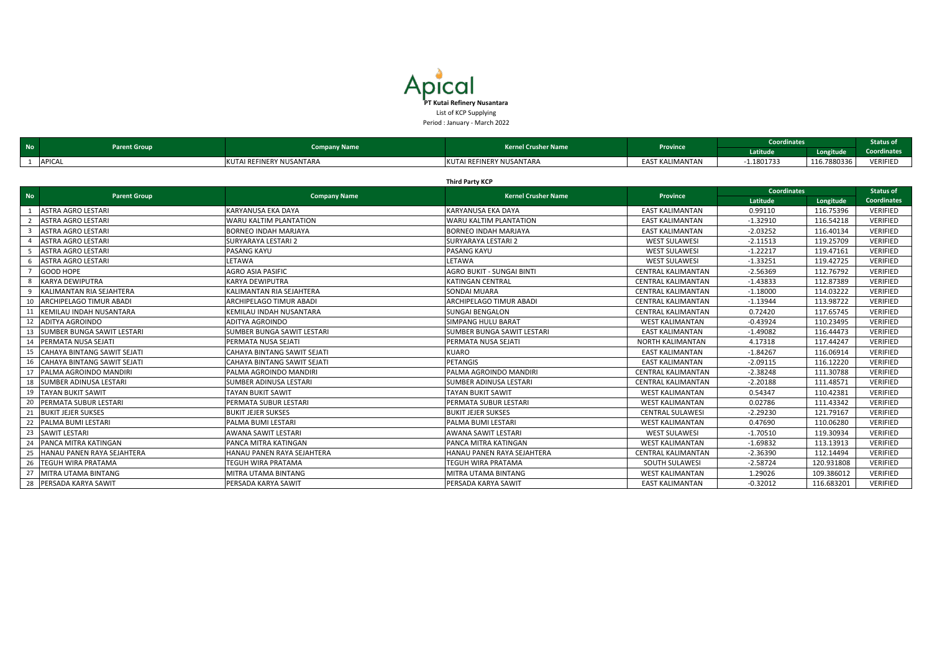|                         | <b>Third Party KCP</b>            |                                    |                                   |                           |                    |            |                    |  |  |  |
|-------------------------|-----------------------------------|------------------------------------|-----------------------------------|---------------------------|--------------------|------------|--------------------|--|--|--|
| <b>No</b>               | <b>Parent Group</b>               | <b>Company Name</b>                | <b>Kernel Crusher Name</b>        | <b>Province</b>           | <b>Coordinates</b> |            | <b>Status of</b>   |  |  |  |
|                         |                                   |                                    |                                   |                           | Latitude           | Longitude  | <b>Coordinates</b> |  |  |  |
|                         | <b>ASTRA AGRO LESTARI</b>         | KARYANUSA EKA DAYA                 | KARYANUSA EKA DAYA                | <b>EAST KALIMANTAN</b>    | 0.99110            | 116.75396  | <b>VERIFIED</b>    |  |  |  |
|                         | <b>ASTRA AGRO LESTARI</b>         | <b>WARU KALTIM PLANTATION</b>      | WARU KALTIM PLANTATION            | <b>EAST KALIMANTAN</b>    | $-1.32910$         | 116.54218  | <b>VERIFIED</b>    |  |  |  |
| $\overline{\mathbf{3}}$ | <b>ASTRA AGRO LESTARI</b>         | <b>BORNEO INDAH MARJAYA</b>        | <b>BORNEO INDAH MARJAYA</b>       | <b>EAST KALIMANTAN</b>    | $-2.03252$         | 116.40134  | VERIFIED           |  |  |  |
|                         | <b>ASTRA AGRO LESTARI</b>         | <b>SURYARAYA LESTARI 2</b>         | <b>SURYARAYA LESTARI 2</b>        | <b>WEST SULAWESI</b>      | $-2.11513$         | 119.25709  | <b>VERIFIED</b>    |  |  |  |
| -5                      | <b>ASTRA AGRO LESTARI</b>         | <b>PASANG KAYU</b>                 | PASANG KAYU                       | <b>WEST SULAWESI</b>      | $-1.22217$         | 119.47161  | <b>VERIFIED</b>    |  |  |  |
|                         | <b>ASTRA AGRO LESTARI</b>         | LETAWA                             | LETAWA                            | <b>WEST SULAWESI</b>      | $-1.33251$         | 119.42725  | <b>VERIFIED</b>    |  |  |  |
|                         | GOOD HOPE                         | <b>AGRO ASIA PASIFIC</b>           | AGRO BUKIT - SUNGAI BINTI         | <b>CENTRAL KALIMANTAN</b> | $-2.56369$         | 112.76792  | <b>VERIFIED</b>    |  |  |  |
| - 8                     | <b>KARYA DEWIPUTRA</b>            | <b>KARYA DEWIPUTRA</b>             | <b>KATINGAN CENTRAL</b>           | <b>CENTRAL KALIMANTAN</b> | $-1.43833$         | 112.87389  | <b>VERIFIED</b>    |  |  |  |
| -9                      | KALIMANTAN RIA SEJAHTERA          | KALIMANTAN RIA SEJAHTERA           | <b>SONDAI MUARA</b>               | <b>CENTRAL KALIMANTAN</b> | $-1.18000$         | 114.03222  | <b>VERIFIED</b>    |  |  |  |
| 10                      | <b>ARCHIPELAGO TIMUR ABADI</b>    | <b>ARCHIPELAGO TIMUR ABADI</b>     | ARCHIPELAGO TIMUR ABADI           | <b>CENTRAL KALIMANTAN</b> | $-1.13944$         | 113.98722  | <b>VERIFIED</b>    |  |  |  |
|                         | KEMILAU INDAH NUSANTARA           | KEMILAU INDAH NUSANTARA            | <b>SUNGAI BENGALON</b>            | <b>CENTRAL KALIMANTAN</b> | 0.72420            | 117.65745  | <b>VERIFIED</b>    |  |  |  |
| 12                      | <b>ADITYA AGROINDO</b>            | <b>ADITYA AGROINDO</b>             | <b>SIMPANG HULU BARAT</b>         | <b>WEST KALIMANTAN</b>    | $-0.43924$         | 110.23495  | <b>VERIFIED</b>    |  |  |  |
| 13                      | <b>SUMBER BUNGA SAWIT LESTARI</b> | SUMBER BUNGA SAWIT LESTARI         | <b>SUMBER BUNGA SAWIT LESTARI</b> | <b>EAST KALIMANTAN</b>    | $-1.49082$         | 116.44473  | <b>VERIFIED</b>    |  |  |  |
| 14                      | PERMATA NUSA SEJATI               | PERMATA NUSA SEJATI                | PERMATA NUSA SEJATI               | <b>NORTH KALIMANTAN</b>   | 4.17318            | 117.44247  | <b>VERIFIED</b>    |  |  |  |
| 15                      | CAHAYA BINTANG SAWIT SEJATI       | CAHAYA BINTANG SAWIT SEJATI        | <b>KUARO</b>                      | <b>EAST KALIMANTAN</b>    | $-1.84267$         | 116.06914  | VERIFIED           |  |  |  |
|                         | CAHAYA BINTANG SAWIT SEJATI       | <b>CAHAYA BINTANG SAWIT SEJATI</b> | <b>PETANGIS</b>                   | <b>EAST KALIMANTAN</b>    | $-2.09115$         | 116.12220  | <b>VERIFIED</b>    |  |  |  |
| 17                      | PALMA AGROINDO MANDIRI            | PALMA AGROINDO MANDIRI             | PALMA AGROINDO MANDIRI            | <b>CENTRAL KALIMANTAN</b> | $-2.38248$         | 111.30788  | <b>VERIFIED</b>    |  |  |  |
|                         | <b>SUMBER ADINUSA LESTARI</b>     | <b>SUMBER ADINUSA LESTARI</b>      | <b>SUMBER ADINUSA LESTARI</b>     | <b>CENTRAL KALIMANTAN</b> | $-2.20188$         | 111.48571  | <b>VERIFIED</b>    |  |  |  |
| 19                      | <b>TAYAN BUKIT SAWIT</b>          | TAYAN BUKIT SAWIT                  | <b>TAYAN BUKIT SAWIT</b>          | <b>WEST KALIMANTAN</b>    | 0.54347            | 110.42381  | <b>VERIFIED</b>    |  |  |  |
| 20                      | PERMATA SUBUR LESTARI             | PERMATA SUBUR LESTARI              | PERMATA SUBUR LESTARI             | <b>WEST KALIMANTAN</b>    | 0.02786            | 111.43342  | <b>VERIFIED</b>    |  |  |  |
| 21                      | <b>BUKIT JEJER SUKSES</b>         | <b>BUKIT JEJER SUKSES</b>          | <b>BUKIT JEJER SUKSES</b>         | <b>CENTRAL SULAWESI</b>   | $-2.29230$         | 121.79167  | <b>VERIFIED</b>    |  |  |  |
| 22                      | PALMA BUMI LESTARI                | PALMA BUMI LESTARI                 | PALMA BUMI LESTARI                | <b>WEST KALIMANTAN</b>    | 0.47690            | 110.06280  | <b>VERIFIED</b>    |  |  |  |
| 23                      | <b>SAWIT LESTARI</b>              | <b>AWANA SAWIT LESTARI</b>         | AWANA SAWIT LESTARI               | <b>WEST SULAWESI</b>      | $-1.70510$         | 119.30934  | <b>VERIFIED</b>    |  |  |  |
| 24                      | PANCA MITRA KATINGAN              | PANCA MITRA KATINGAN               | PANCA MITRA KATINGAN              | <b>WEST KALIMANTAN</b>    | $-1.69832$         | 113.13913  | <b>VERIFIED</b>    |  |  |  |
| 25                      | HANAU PANEN RAYA SEJAHTERA        | HANAU PANEN RAYA SEJAHTERA         | HANAU PANEN RAYA SEJAHTERA        | <b>CENTRAL KALIMANTAN</b> | $-2.36390$         | 112.14494  | <b>VERIFIED</b>    |  |  |  |
| 26                      | <b>TEGUH WIRA PRATAMA</b>         | <b>TEGUH WIRA PRATAMA</b>          | TEGUH WIRA PRATAMA                | <b>SOUTH SULAWESI</b>     | $-2.58724$         | 120.931808 | <b>VERIFIED</b>    |  |  |  |
| 27                      | MITRA UTAMA BINTANG               | MITRA UTAMA BINTANG                | MITRA UTAMA BINTANG               | <b>WEST KALIMANTAN</b>    | 1.29026            | 109.386012 | <b>VERIFIED</b>    |  |  |  |
|                         | 28 PERSADA KARYA SAWIT            | <b>PERSADA KARYA SAWIT</b>         | PERSADA KARYA SAWIT               | <b>EAST KALIMANTAN</b>    | $-0.32012$         | 116.683201 | <b>VERIFIED</b>    |  |  |  |

| <b>No</b> |               | <b>Company Name</b>      | <b>Kernel Crusher Name</b><br><b>Parent Group</b> |                        | <b>Province</b> | <b>Coordinates</b> |                    | <b>Status of</b> |
|-----------|---------------|--------------------------|---------------------------------------------------|------------------------|-----------------|--------------------|--------------------|------------------|
|           |               |                          |                                                   |                        | Latitude        | <b>Longitude</b>   | <b>Coordinates</b> |                  |
|           | <b>APICAL</b> | KUTAI REFINERY NUSANTARA | KUTAI REFINERY NUSANTARA                          | <b>EAST KALIMANTAN</b> | $-1.1801733$    | 116.7880336        | VERIFIED           |                  |

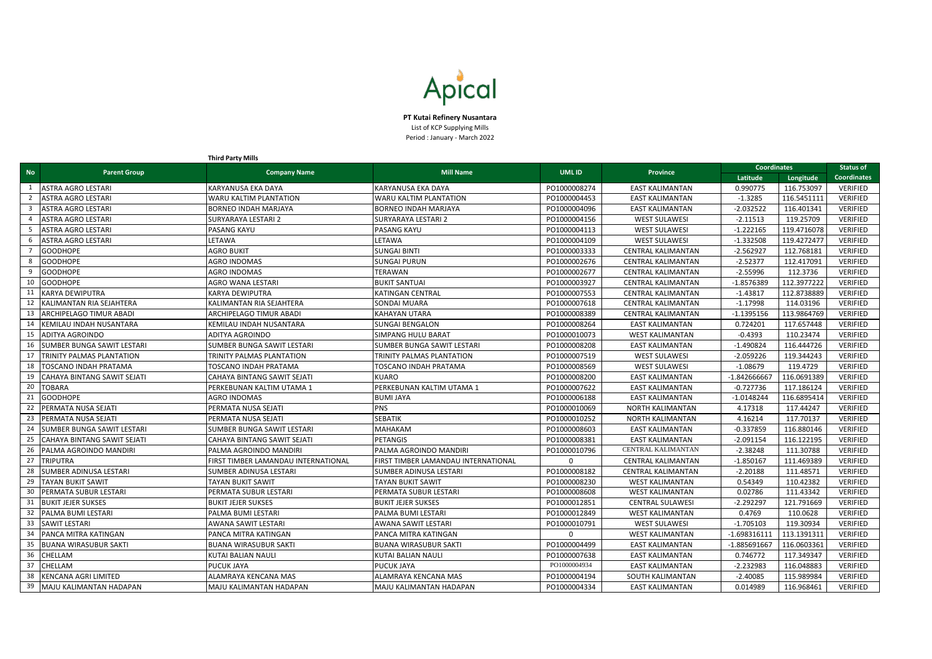|           |                               | <b>Third Party Mills</b>            |                                     |              |                           |                    |             |                 |
|-----------|-------------------------------|-------------------------------------|-------------------------------------|--------------|---------------------------|--------------------|-------------|-----------------|
| <b>No</b> |                               |                                     | <b>Mill Name</b>                    | <b>UMLID</b> | <b>Province</b>           | <b>Coordinates</b> |             | Status of       |
|           | <b>Parent Group</b>           | <b>Company Name</b>                 |                                     |              |                           | Latitude           | Longitude   | Coordinates     |
|           | <b>ASTRA AGRO LESTARI</b>     | <b>KARYANUSA EKA DAYA</b>           | <b>KARYANUSA EKA DAYA</b>           | PO1000008274 | <b>EAST KALIMANTAN</b>    | 0.990775           | 116.753097  | <b>VERIFIED</b> |
|           | ASTRA AGRO LESTARI            | WARU KALTIM PLANTATION              | WARU KALTIM PLANTATION              | PO1000004453 | <b>EAST KALIMANTAN</b>    | $-1.3285$          | 116.5451111 | <b>VERIFIED</b> |
|           | ASTRA AGRO LESTARI            | <b>BORNEO INDAH MARJAYA</b>         | <b>BORNEO INDAH MARJAYA</b>         | PO1000004096 | <b>EAST KALIMANTAN</b>    | $-2.032522$        | 116.401341  | <b>VERIFIED</b> |
|           | ASTRA AGRO LESTARI            | <b>SURYARAYA LESTARI 2</b>          | SURYARAYA LESTARI 2                 | PO1000004156 | <b>WEST SULAWESI</b>      | $-2.11513$         | 119.25709   | <b>VERIFIED</b> |
|           | ASTRA AGRO LESTARI            | PASANG KAYU                         | PASANG KAYU                         | PO1000004113 | <b>WEST SULAWES</b>       | $-1.222165$        | 119.4716078 | <b>VERIFIED</b> |
|           | ASTRA AGRO LESTARI            | LETAWA                              | LETAWA                              | PO1000004109 | <b>WEST SULAWESI</b>      | $-1.332508$        | 119.4272477 | <b>VERIFIED</b> |
|           | <b>GOODHOPE</b>               | <b>AGRO BUKIT</b>                   | <b>SUNGAI BINTI</b>                 | PO1000003333 | <b>CENTRAL KALIMANTAN</b> | $-2.562927$        | 112.768181  | <b>VERIFIED</b> |
|           | <b>GOODHOPE</b>               | <b>AGRO INDOMAS</b>                 | <b>SUNGAI PURUN</b>                 | PO1000002676 | <b>CENTRAL KALIMANTAN</b> | $-2.52377$         | 112.417091  | <b>VERIFIED</b> |
|           | <b>GOODHOPE</b>               | <b>AGRO INDOMAS</b>                 | TERAWAN                             | PO1000002677 | <b>CENTRAL KALIMANTAN</b> | $-2.55996$         | 112.3736    | <b>VERIFIED</b> |
|           | <b>GOODHOPE</b>               | AGRO WANA LESTARI                   | <b>BUKIT SANTUAI</b>                | PO1000003927 | <b>CENTRAL KALIMANTAN</b> | $-1.8576389$       | 112.3977222 | <b>VERIFIED</b> |
|           | <b>KARYA DEWIPUTRA</b>        | <b>KARYA DEWIPUTRA</b>              | <b>KATINGAN CENTRAL</b>             | PO1000007553 | <b>CENTRAL KALIMANTAN</b> | $-1.43817$         | 112.8738889 | <b>VERIFIED</b> |
|           | KALIMANTAN RIA SEJAHTERA      | KALIMANTAN RIA SEJAHTERA            | <b>SONDAI MUARA</b>                 | PO1000007618 | <b>CENTRAL KALIMANTAN</b> | $-1.17998$         | 114.03196   | <b>VERIFIED</b> |
|           | ARCHIPELAGO TIMUR ABADI       | ARCHIPELAGO TIMUR ABADI             | <b>KAHAYAN UTARA</b>                | PO1000008389 | <b>CENTRAL KALIMANTAN</b> | $-1.1395156$       | 113.9864769 | <b>VERIFIED</b> |
|           | KEMILAU INDAH NUSANTARA       | KEMILAU INDAH NUSANTARA             | <b>SUNGAI BENGALON</b>              | PO1000008264 | <b>EAST KALIMANTAN</b>    | 0.724201           | 117.657448  | <b>VERIFIED</b> |
|           | ADITYA AGROINDO               | <b>ADITYA AGROINDO</b>              | <b>SIMPANG HULU BARAT</b>           | PO1000010073 | <b>WEST KALIMANTAN</b>    | $-0.4393$          | 110.23474   | <b>VERIFIED</b> |
|           | SUMBER BUNGA SAWIT LESTARI    | SUMBER BUNGA SAWIT LESTARI          | SUMBER BUNGA SAWIT LESTARI          | PO1000008208 | <b>EAST KALIMANTAN</b>    | $-1.490824$        | 116.444726  | <b>VERIFIED</b> |
|           | TRINITY PALMAS PLANTATION     | TRINITY PALMAS PLANTATION           | TRINITY PALMAS PLANTATION           | PO1000007519 | <b>WEST SULAWESI</b>      | $-2.059226$        | 119.344243  | <b>VERIFIED</b> |
|           | TOSCANO INDAH PRATAMA         | <b>TOSCANO INDAH PRATAMA</b>        | TOSCANO INDAH PRATAMA               | PO1000008569 | <b>WEST SULAWESI</b>      | $-1.08679$         | 119.4729    | <b>VERIFIED</b> |
|           | CAHAYA BINTANG SAWIT SEJATI   | CAHAYA BINTANG SAWIT SEJATI         | <b>KUARO</b>                        | PO1000008200 | <b>EAST KALIMANTAN</b>    | $-1.842666667$     | 116.0691389 | <b>VERIFIED</b> |
|           | TOBARA                        | PERKEBUNAN KALTIM UTAMA 1           | PERKEBUNAN KALTIM UTAMA 1           | PO1000007622 | <b>EAST KALIMANTAN</b>    | $-0.727736$        | 117.186124  | <b>VERIFIED</b> |
|           | <b>GOODHOPE</b>               | <b>AGRO INDOMAS</b>                 | <b>BUMI JAYA</b>                    | PO1000006188 | <b>EAST KALIMANTAN</b>    | $-1.0148244$       | 116.6895414 | <b>VERIFIED</b> |
|           | PERMATA NUSA SEJATI           | PERMATA NUSA SEJATI                 | <b>PNS</b>                          | PO1000010069 | <b>NORTH KALIMANTAN</b>   | 4.17318            | 117.44247   | <b>VERIFIED</b> |
|           | PERMATA NUSA SEJATI           | PERMATA NUSA SEJATI                 | <b>SEBATIK</b>                      | PO1000010252 | <b>NORTH KALIMANTAN</b>   | 4.16214            | 117.70137   | <b>VERIFIED</b> |
|           | SUMBER BUNGA SAWIT LESTARI    | SUMBER BUNGA SAWIT LESTARI          | <b>MAHAKAM</b>                      | PO1000008603 | <b>EAST KALIMANTAN</b>    | $-0.337859$        | 116.880146  | <b>VERIFIED</b> |
|           | CAHAYA BINTANG SAWIT SEJATI   | CAHAYA BINTANG SAWIT SEJATI         | <b>PETANGIS</b>                     | PO1000008381 | <b>EAST KALIMANTAN</b>    | $-2.091154$        | 116.122195  | <b>VERIFIED</b> |
|           | PALMA AGROINDO MANDIRI        | PALMA AGROINDO MANDIRI              | PALMA AGROINDO MANDIRI              | PO1000010796 | CENTRAL KALIMANTAN        | $-2.38248$         | 111.30788   | <b>VERIFIED</b> |
| 27        | <b>TRIPUTRA</b>               | FIRST TIMBER LAMANDAU INTERNATIONAL | FIRST TIMBER LAMANDAU INTERNATIONAL | $\Omega$     | <b>CENTRAL KALIMANTAN</b> | $-1.850167$        | 111.469389  | <b>VERIFIED</b> |
|           | <b>SUMBER ADINUSA LESTARI</b> | SUMBER ADINUSA LESTARI              | <b>SUMBER ADINUSA LESTARI</b>       | PO1000008182 | <b>CENTRAL KALIMANTAN</b> | $-2.20188$         | 111.48571   | <b>VERIFIED</b> |
| 29        | <b>TAYAN BUKIT SAWIT</b>      | <b>TAYAN BUKIT SAWIT</b>            | TAYAN BUKIT SAWIT                   | PO1000008230 | <b>WEST KALIMANTAN</b>    | 0.54349            | 110.42382   | <b>VERIFIED</b> |
|           | PERMATA SUBUR LESTARI         | PERMATA SUBUR LESTARI               | PERMATA SUBUR LESTARI               | PO1000008608 | <b>WEST KALIMANTAN</b>    | 0.02786            | 111.43342   | <b>VERIFIED</b> |
|           | <b>BUKIT JEJER SUKSES</b>     | <b>BUKIT JEJER SUKSES</b>           | <b>BUKIT JEJER SUKSES</b>           | PO1000012851 | <b>CENTRAL SULAWESI</b>   | $-2.292297$        | 121.791669  | <b>VERIFIED</b> |
|           | PALMA BUMI LESTARI            | PALMA BUMI LESTARI                  | PALMA BUMI LESTARI                  | PO1000012849 | <b>WEST KALIMANTAN</b>    | 0.4769             | 110.0628    | <b>VERIFIED</b> |
| 33        | <b>SAWIT LESTARI</b>          | AWANA SAWIT LESTARI                 | AWANA SAWIT LESTARI                 | PO1000010791 | <b>WEST SULAWESI</b>      | $-1.705103$        | 119.30934   | <b>VERIFIED</b> |
|           | PANCA MITRA KATINGAN          | PANCA MITRA KATINGAN                | PANCA MITRA KATINGAN                | <sup>0</sup> | <b>WEST KALIMANTAN</b>    | $-1.698316111$     | 113.1391311 | <b>VERIFIED</b> |
|           | <b>BUANA WIRASUBUR SAKTI</b>  | <b>BUANA WIRASUBUR SAKTI</b>        | <b>BUANA WIRASUBUR SAKTI</b>        | PO1000004499 | <b>EAST KALIMANTAN</b>    | -1.885691667       | 116.0603361 | <b>VERIFIED</b> |
| 36        | CHELLAM                       | KUTAI BALIAN NAULI                  | <b>KUTAI BALIAN NAULI</b>           | PO1000007638 | <b>EAST KALIMANTAN</b>    | 0.746772           | 117.349347  | <b>VERIFIED</b> |
| 37        | CHELLAM                       | <b>PUCUK JAYA</b>                   | PUCUK JAYA                          | PO1000004934 | <b>EAST KALIMANTAN</b>    | $-2.232983$        | 116.048883  | <b>VERIFIED</b> |
|           | <b>KENCANA AGRI LIMITED</b>   | ALAMRAYA KENCANA MAS                | ALAMRAYA KENCANA MAS                | PO1000004194 | <b>SOUTH KALIMANTAN</b>   | $-2.40085$         | 115.989984  | <b>VERIFIED</b> |
| 39        | MAJU KALIMANTAN HADAPAN       | MAJU KALIMANTAN HADAPAN             | MAJU KALIMANTAN HADAPAN             | PO1000004334 | <b>EAST KALIMANTAN</b>    | 0.014989           | 116.968461  | VERIFIED        |



**PT Kutai Refinery Nusantara** List of KCP Supplying Mills Period : January - March 2022